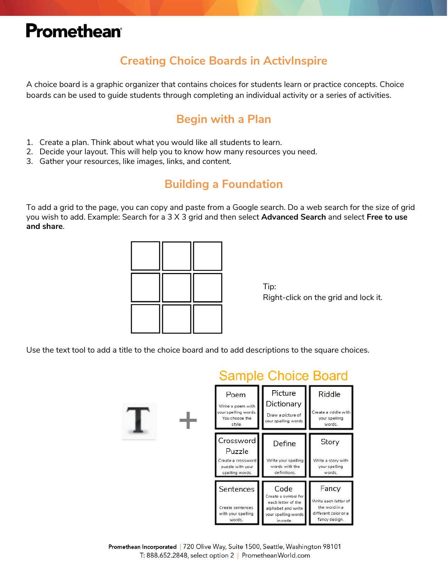# **Promethean**®

### **Creating Choice Boards in ActivInspire**

A choice board is a graphic organizer that contains choices for students learn or practice concepts. Choice boards can be used to guide students through completing an individual activity or a series of activities.

#### **Begin with a Plan**

- 1. Create a plan. Think about what you would like all students to learn.
- 2. Decide your layout. This will help you to know how many resources you need.
- 3. Gather your resources, like images, links, and content.

#### **Building a Foundation**

To add a grid to the page, you can copy and paste from a Google search. Do a web search for the size of grid you wish to add. Example: Search for a 3 X 3 grid and then select **Advanced Search** and select **Free to use and share**.



Tip: Right-click on the grid and lock it.

Use the text tool to add a title to the choice board and to add descriptions to the square choices.



Promethean Incorporated | 720 Olive Way, Suite 1500, Seattle, Washington 98101 T: 888.652.2848, select option 2 | PrometheanWorld.com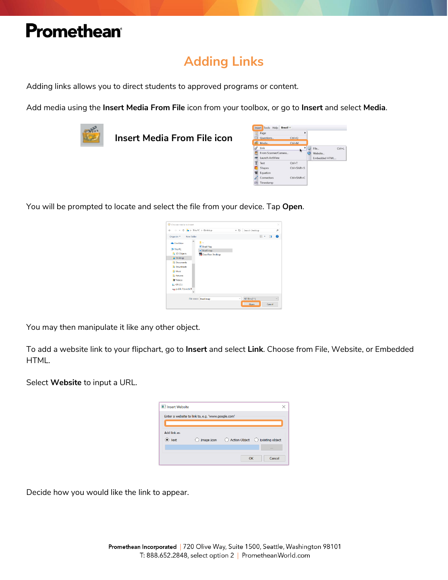## Promethean®

### **Adding Links**

Adding links allows you to direct students to approved programs or content.

Add media using the **Insert Media From File** icon from your toolbox, or go to **Insert** and select **Media**.



**Insert Media From File icon**



You will be prompted to locate and select the file from your device. Tap **Open**.

|                                                                                                                                            | $\rightarrow$ $\sim$ $\uparrow$ $\uparrow$ $\rightarrow$ This PC $\rightarrow$ Desktop | Search Desktop<br>$\cup$ $\cup$ |     | ρ         |
|--------------------------------------------------------------------------------------------------------------------------------------------|----------------------------------------------------------------------------------------|---------------------------------|-----|-----------|
| New folder<br>Organize *                                                                                                                   |                                                                                        |                                 | 注・口 | $\bullet$ |
| <b>Gia Conclaime</b><br>This PC<br>3D Objects<br><b>Desktop</b><br><b>B</b> Documents<br><b>E.</b> Downloads<br>A Music<br><b>Pictures</b> | ц.,<br><b>Brazil flag</b><br>Brazil map<br>ClassFlow Desktop                           |                                 |     |           |
| <b>B</b> Videos<br>$\blacksquare$ OS (C)                                                                                                   |                                                                                        |                                 |     |           |

You may then manipulate it like any other object.

To add a website link to your flipchart, go to **Insert** and select **Link**. Choose from File, Website, or Embedded HTML.

Select **Website** to input a URL.

| Insert Website |                                                   |              |
|----------------|---------------------------------------------------|--------------|
|                |                                                   |              |
|                |                                                   |              |
|                |                                                   |              |
|                |                                                   |              |
|                |                                                   | <b>STATE</b> |
|                | ок                                                | Cancel       |
|                | Enter a website to link to, e.g. 'www.google.com' |              |

Decide how you would like the link to appear.